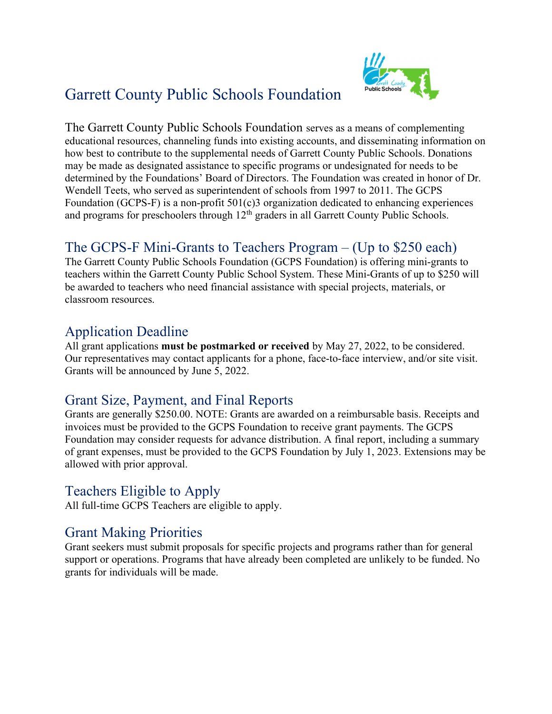# Garrett County Public Schools Foundation



The Garrett County Public Schools Foundation serves as a means of complementing educational resources, channeling funds into existing accounts, and disseminating information on how best to contribute to the supplemental needs of Garrett County Public Schools. Donations may be made as designated assistance to specific programs or undesignated for needs to be determined by the Foundations' Board of Directors. The Foundation was created in honor of Dr. Wendell Teets, who served as superintendent of schools from 1997 to 2011. The GCPS Foundation (GCPS-F) is a non-profit 501(c)3 organization dedicated to enhancing experiences and programs for preschoolers through  $12<sup>th</sup>$  graders in all Garrett County Public Schools.

## The GCPS-F Mini-Grants to Teachers Program – (Up to \$250 each)

The Garrett County Public Schools Foundation (GCPS Foundation) is offering mini-grants to teachers within the Garrett County Public School System. These Mini-Grants of up to \$250 will be awarded to teachers who need financial assistance with special projects, materials, or classroom resources.

#### Application Deadline

All grant applications **must be postmarked or received** by May 27, 2022, to be considered. Our representatives may contact applicants for a phone, face-to-face interview, and/or site visit. Grants will be announced by June 5, 2022.

#### Grant Size, Payment, and Final Reports

Grants are generally \$250.00. NOTE: Grants are awarded on a reimbursable basis. Receipts and invoices must be provided to the GCPS Foundation to receive grant payments. The GCPS Foundation may consider requests for advance distribution. A final report, including a summary of grant expenses, must be provided to the GCPS Foundation by July 1, 2023. Extensions may be allowed with prior approval.

#### Teachers Eligible to Apply

All full-time GCPS Teachers are eligible to apply.

#### Grant Making Priorities

Grant seekers must submit proposals for specific projects and programs rather than for general support or operations. Programs that have already been completed are unlikely to be funded. No grants for individuals will be made.